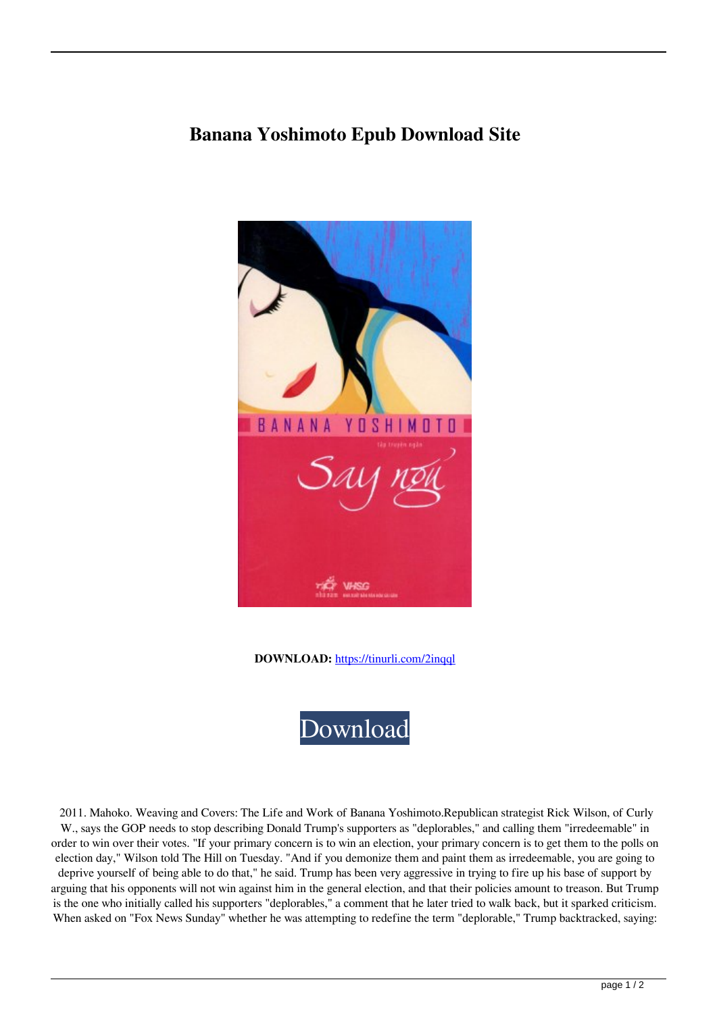## **Banana Yoshimoto Epub Download Site**



**DOWNLOAD:** <https://tinurli.com/2inqql>



 2011. Mahoko. Weaving and Covers: The Life and Work of Banana Yoshimoto.Republican strategist Rick Wilson, of Curly W., says the GOP needs to stop describing Donald Trump's supporters as "deplorables," and calling them "irredeemable" in order to win over their votes. "If your primary concern is to win an election, your primary concern is to get them to the polls on election day," Wilson told The Hill on Tuesday. "And if you demonize them and paint them as irredeemable, you are going to deprive yourself of being able to do that," he said. Trump has been very aggressive in trying to fire up his base of support by arguing that his opponents will not win against him in the general election, and that their policies amount to treason. But Trump is the one who initially called his supporters "deplorables," a comment that he later tried to walk back, but it sparked criticism. When asked on "Fox News Sunday" whether he was attempting to redefine the term "deplorable," Trump backtracked, saying: